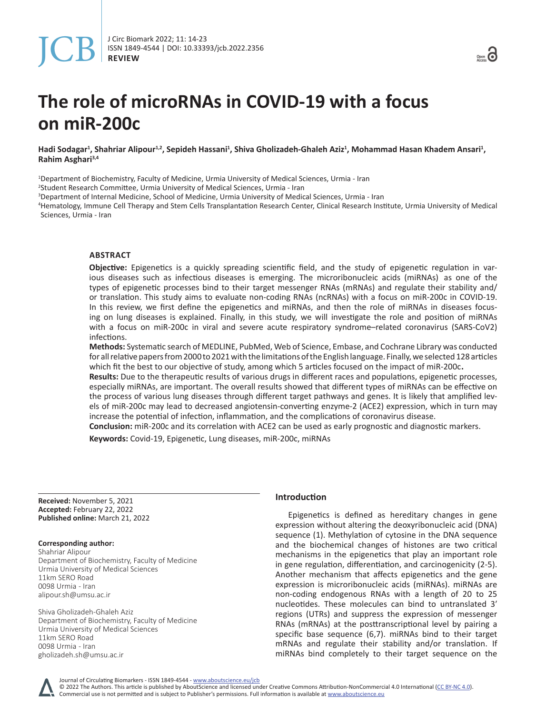# **The role of microRNAs in COVID-19 with a focus on miR-200c**

Hadi Sodagar<sup>1</sup>, Shahriar Alipour<sup>1,2</sup>, Sepideh Hassani<sup>1</sup>, Shiva Gholizadeh-Ghaleh Aziz<sup>1</sup>, Mohammad Hasan Khadem Ansari<sup>1</sup>, **Rahim Asghari3,4**

1 Department of Biochemistry, Faculty of Medicine, Urmia University of Medical Sciences, Urmia - Iran 2 Student Research Committee, Urmia University of Medical Sciences, Urmia - Iran

3 Department of Internal Medicine, School of Medicine, Urmia University of Medical Sciences, Urmia - Iran

4 Hematology, Immune Cell Therapy and Stem Cells Transplantation Research Center, Clinical Research Institute, Urmia University of Medical Sciences, Urmia - Iran

# **ABSTRACT**

**Objective:** Epigenetics is a quickly spreading scientific field, and the study of epigenetic regulation in various diseases such as infectious diseases is emerging. The microribonucleic acids (miRNAs) as one of the types of epigenetic processes bind to their target messenger RNAs (mRNAs) and regulate their stability and/ or translation. This study aims to evaluate non-coding RNAs (ncRNAs) with a focus on miR-200c in COVID-19. In this review, we first define the epigenetics and miRNAs, and then the role of miRNAs in diseases focusing on lung diseases is explained. Finally, in this study, we will investigate the role and position of miRNAs with a focus on miR-200c in viral and severe acute respiratory syndrome–related coronavirus (SARS-CoV2) infections.

**Methods:** Systematic search of MEDLINE, PubMed, Web of Science, Embase, and Cochrane Library was conducted for all relative papers from 2000 to 2021 with the limitations of the English language. Finally, we selected 128 articles which fit the best to our objective of study, among which 5 articles focused on the impact of miR-200c.

**Results:** Due to the therapeutic results of various drugs in different races and populations, epigenetic processes, especially miRNAs, are important. The overall results showed that different types of miRNAs can be effective on the process of various lung diseases through different target pathways and genes. It is likely that amplified levels of miR-200c may lead to decreased angiotensin-converting enzyme-2 (ACE2) expression, which in turn may increase the potential of infection, inflammation, and the complications of coronavirus disease.

**Conclusion:** miR-200c and its correlation with ACE2 can be used as early prognostic and diagnostic markers.

**Keywords:** Covid-19, Epigenetic, Lung diseases, miR-200c, miRNAs

**Received:** November 5, 2021 **Accepted:** February 22, 2022 **Published online:** March 21, 2022

#### **Corresponding author:**

Shahriar Alipour Department of Biochemistry, Faculty of Medicine Urmia University of Medical Sciences 11km SERO Road 0098 Urmia - Iran alipour.sh@umsu.ac.ir

Shiva Gholizadeh-Ghaleh Aziz Department of Biochemistry, Faculty of Medicine Urmia University of Medical Sciences 11km SERO Road 0098 Urmia - Iran gholizadeh.sh@umsu.ac.ir

# **Introduction**

Epigenetics is defined as hereditary changes in gene expression without altering the deoxyribonucleic acid (DNA) sequence (1). Methylation of cytosine in the DNA sequence and the biochemical changes of histones are two critical mechanisms in the epigenetics that play an important role in gene regulation, differentiation, and carcinogenicity (2-5). Another mechanism that affects epigenetics and the gene expression is microribonucleic acids (miRNAs). miRNAs are non-coding endogenous RNAs with a length of 20 to 25 nucleotides. These molecules can bind to untranslated 3′ regions (UTRs) and suppress the expression of messenger RNAs (mRNAs) at the posttranscriptional level by pairing a specific base sequence (6,7). miRNAs bind to their target mRNAs and regulate their stability and/or translation. If miRNAs bind completely to their target sequence on the

Journal of Circulating Biomarkers - ISSN 1849-4544 - www.aboutscience.eu/jcb

© 2022 The Authors. This article is published by AboutScience and licensed under Creative Commons Attribution-NonCommercial 4.0 International ([CC BY-NC 4.0](https://creativecommons.org/licenses/by-nc/4.0/legalcode)). Commercial use is not permitted and is subject to Publisher's permissions. Full information is available at www.aboutscience.eu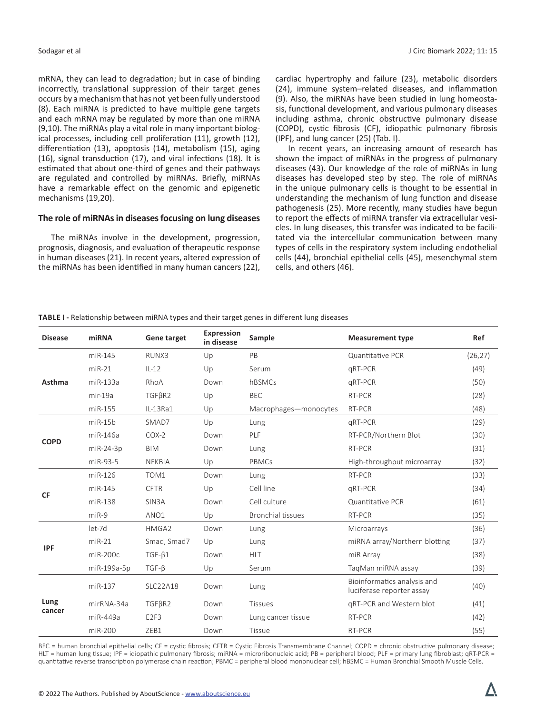mRNA, they can lead to degradation; but in case of binding incorrectly, translational suppression of their target genes occurs by a mechanism that has not yet been fully understood (8). Each miRNA is predicted to have multiple gene targets and each mRNA may be regulated by more than one miRNA (9,10). The miRNAs play a vital role in many important biological processes, including cell proliferation (11), growth (12), differentiation (13), apoptosis (14), metabolism (15), aging (16), signal transduction (17), and viral infections (18). It is estimated that about one-third of genes and their pathways are regulated and controlled by miRNAs. Briefly, miRNAs have a remarkable effect on the genomic and epigenetic mechanisms (19,20).

# **The role of miRNAs in diseases focusing on lung diseases**

The miRNAs involve in the development, progression, prognosis, diagnosis, and evaluation of therapeutic response in human diseases (21). In recent years, altered expression of the miRNAs has been identified in many human cancers (22),

cardiac hypertrophy and failure (23), metabolic disorders (24), immune system–related diseases, and inflammation (9). Also, the miRNAs have been studied in lung homeostasis, functional development, and various pulmonary diseases including asthma, chronic obstructive pulmonary disease (COPD), cystic fibrosis (CF), idiopathic pulmonary fibrosis (IPF), and lung cancer (25) (Tab. I).

In recent years, an increasing amount of research has shown the impact of miRNAs in the progress of pulmonary diseases (43). Our knowledge of the role of miRNAs in lung diseases has developed step by step. The role of miRNAs in the unique pulmonary cells is thought to be essential in understanding the mechanism of lung function and disease pathogenesis (25). More recently, many studies have begun to report the effects of miRNA transfer via extracellular vesicles. In lung diseases, this transfer was indicated to be facilitated via the intercellular communication between many types of cells in the respiratory system including endothelial cells (44), bronchial epithelial cells (45), mesenchymal stem cells, and others (46).

| <b>Disease</b> | miRNA         | Gene target        | <b>Expression</b><br>in disease | Sample                   | <b>Measurement type</b>                                  | Ref      |
|----------------|---------------|--------------------|---------------------------------|--------------------------|----------------------------------------------------------|----------|
| Asthma         | miR-145       | RUNX3              | Up                              | PB                       | Quantitative PCR                                         | (26, 27) |
|                | $miR-21$      | $IL-12$            | Up                              | Serum                    | qRT-PCR                                                  | (49)     |
|                | miR-133a      | RhoA               | Down                            | hBSMCs                   | qRT-PCR                                                  | (50)     |
|                | mir-19a       | $TGF\betaR2$       | Up                              | <b>BEC</b>               | RT-PCR                                                   | (28)     |
|                | miR-155       | $IL-13Ra1$         | Up                              | Macrophages-monocytes    | RT-PCR                                                   | (48)     |
| <b>COPD</b>    | $m$ i $R-15b$ | SMAD7              | Up                              | Lung                     | qRT-PCR                                                  | (29)     |
|                | miR-146a      | $COX-2$            | Down                            | PLF                      | RT-PCR/Northern Blot                                     | (30)     |
|                | $miR-24-3p$   | <b>BIM</b>         | Down                            | Lung                     | RT-PCR                                                   | (31)     |
|                | miR-93-5      | <b>NFKBIA</b>      | Up                              | PBMCs                    | High-throughput microarray                               | (32)     |
| <b>CF</b>      | $miR-126$     | TOM <sub>1</sub>   | Down                            | Lung                     | RT-PCR                                                   | (33)     |
|                | $miR-145$     | <b>CFTR</b>        | Up                              | Cell line                | gRT-PCR                                                  | (34)     |
|                | $miR-138$     | SIN <sub>3</sub> A | Down                            | Cell culture             | Quantitative PCR                                         | (61)     |
|                | $miR-9$       | ANO1               | Up                              | <b>Bronchial tissues</b> | RT-PCR                                                   | (35)     |
| <b>IPF</b>     | let-7d        | HMGA2              | Down                            | Lung                     | Microarrays                                              | (36)     |
|                | $miR-21$      | Smad, Smad7        | Up                              | Lung                     | miRNA array/Northern blotting                            | (37)     |
|                | $miR-200c$    | $TGF-\beta1$       | Down                            | <b>HLT</b>               | miR Array                                                | (38)     |
|                | miR-199a-5p   | $TGF-B$            | Up                              | Serum                    | TagMan miRNA assay                                       | (39)     |
| Lung<br>cancer | miR-137       | <b>SLC22A18</b>    | Down                            | Lung                     | Bioinformatics analysis and<br>luciferase reporter assay | (40)     |
|                | mirRNA-34a    | TGF <sub>BR2</sub> | Down                            | <b>Tissues</b>           | gRT-PCR and Western blot                                 | (41)     |
|                | $miR-449a$    | E <sub>2F3</sub>   | Down                            | Lung cancer tissue       | RT-PCR                                                   | (42)     |
|                | $miR-200$     | ZEB1               | Down                            | Tissue                   | RT-PCR                                                   | (55)     |

BEC = human bronchial epithelial cells; CF = cystic fibrosis; CFTR = Cystic Fibrosis Transmembrane Channel; COPD = chronic obstructive pulmonary disease; HLT = human lung tissue; IPF = idiopathic pulmonary fibrosis; miRNA = microribonucleic acid; PB = peripheral blood; PLF = primary lung fibroblast; qRT-PCR = quantitative reverse transcription polymerase chain reaction; PBMC = peripheral blood mononuclear cell; hBSMC = Human Bronchial Smooth Muscle Cells.

**TABLE I -** Relationship between miRNA types and their target genes in different lung diseases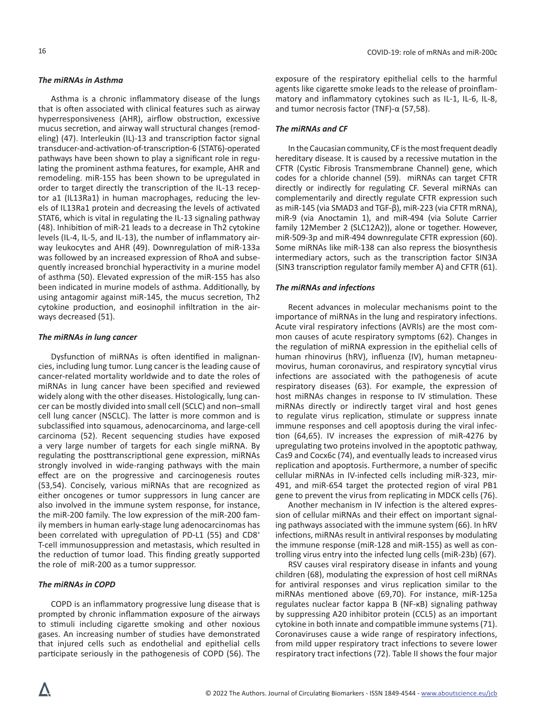# *The miRNAs in Asthma*

Asthma is a chronic inflammatory disease of the lungs that is often associated with clinical features such as airway hyperresponsiveness (AHR), airflow obstruction, excessive mucus secretion, and airway wall structural changes (remodeling) (47). Interleukin (IL)-13 and transcription factor signal transducer-and-activation-of-transcription-6 (STAT6)-operated pathways have been shown to play a significant role in regulating the prominent asthma features, for example, AHR and remodeling. miR-155 has been shown to be upregulated in order to target directly the transcription of the IL-13 receptor a1 (IL13Ra1) in human macrophages, reducing the levels of IL13Ra1 protein and decreasing the levels of activated STAT6, which is vital in regulating the IL-13 signaling pathway (48). Inhibition of miR-21 leads to a decrease in Th2 cytokine levels (IL-4, IL-5, and IL-13), the number of inflammatory airway leukocytes and AHR (49). Downregulation of miR-133a was followed by an increased expression of RhoA and subsequently increased bronchial hyperactivity in a murine model of asthma (50). Elevated expression of the miR-155 has also been indicated in murine models of asthma. Additionally, by using antagomir against miR-145, the mucus secretion, Th2 cytokine production, and eosinophil infiltration in the airways decreased (51).

# *The miRNAs in lung cancer*

Dysfunction of miRNAs is often identified in malignancies, including lung tumor. Lung cancer is the leading cause of cancer-related mortality worldwide and to date the roles of miRNAs in lung cancer have been specified and reviewed widely along with the other diseases. Histologically, lung cancer can be mostly divided into small cell (SCLC) and non–small cell lung cancer (NSCLC). The latter is more common and is subclassified into squamous, adenocarcinoma, and large-cell carcinoma (52). Recent sequencing studies have exposed a very large number of targets for each single miRNA. By regulating the posttranscriptional gene expression, miRNAs strongly involved in wide-ranging pathways with the main effect are on the progressive and carcinogenesis routes (53,54). Concisely, various miRNAs that are recognized as either oncogenes or tumor suppressors in lung cancer are also involved in the immune system response, for instance, the miR-200 family. The low expression of the miR-200 family members in human early-stage lung adenocarcinomas has been correlated with upregulation of PD-L1 (55) and CD8<sup>+</sup> T-cell immunosuppression and metastasis, which resulted in the reduction of tumor load. This finding greatly supported the role of miR-200 as a tumor suppressor.

#### *The miRNAs in COPD*

COPD is an inflammatory progressive lung disease that is prompted by chronic inflammation exposure of the airways to stimuli including cigarette smoking and other noxious gases. An increasing number of studies have demonstrated that injured cells such as endothelial and epithelial cells participate seriously in the pathogenesis of COPD (56). The exposure of the respiratory epithelial cells to the harmful agents like cigarette smoke leads to the release of proinflammatory and inflammatory cytokines such as IL-1, IL-6, IL-8, and tumor necrosis factor (TNF)-α (57,58).

#### *The miRNAs and CF*

In the Caucasian community, CF is the most frequent deadly hereditary disease. It is caused by a recessive mutation in the CFTR (Cystic Fibrosis Transmembrane Channel) gene, which codes for a chloride channel (59). miRNAs can target CFTR directly or indirectly for regulating CF. Several miRNAs can complementarily and directly regulate CFTR expression such as miR-145 (via SMAD3 and TGF-β), miR-223 (via CFTR mRNA), miR-9 (via Anoctamin 1), and miR-494 (via Solute Carrier family 12Member 2 (SLC12A2)), alone or together. However, miR-509-3p and miR-494 downregulate CFTR expression (60). Some miRNAs like miR-138 can also repress the biosynthesis intermediary actors, such as the transcription factor SIN3A (SIN3 transcription regulator family member A) and CFTR (61).

# *The miRNAs and infections*

Recent advances in molecular mechanisms point to the importance of miRNAs in the lung and respiratory infections. Acute viral respiratory infections (AVRIs) are the most common causes of acute respiratory symptoms (62). Changes in the regulation of miRNA expression in the epithelial cells of human rhinovirus (hRV), influenza (IV), human metapneumovirus, human coronavirus, and respiratory syncytial virus infections are associated with the pathogenesis of acute respiratory diseases (63). For example, the expression of host miRNAs changes in response to IV stimulation. These miRNAs directly or indirectly target viral and host genes to regulate virus replication, stimulate or suppress innate immune responses and cell apoptosis during the viral infection (64,65). IV increases the expression of miR-4276 by upregulating two proteins involved in the apoptotic pathway, Cas9 and Cocx6c (74), and eventually leads to increased virus replication and apoptosis. Furthermore, a number of specific cellular miRNAs in IV-infected cells including miR-323, mir-491, and miR-654 target the protected region of viral PB1 gene to prevent the virus from replicating in MDCK cells (76).

Another mechanism in IV infection is the altered expression of cellular miRNAs and their effect on important signaling pathways associated with the immune system (66). In hRV infections, miRNAs result in antiviral responses by modulating the immune response (miR-128 and miR-155) as well as controlling virus entry into the infected lung cells (miR-23b) (67).

RSV causes viral respiratory disease in infants and young children (68), modulating the expression of host cell miRNAs for antiviral responses and virus replication similar to the miRNAs mentioned above (69,70). For instance, miR-125a regulates nuclear factor kappa B (NF-κB) signaling pathway by suppressing A20 inhibitor protein (CCL5) as an important cytokine in both innate and compatible immune systems (71). Coronaviruses cause a wide range of respiratory infections, from mild upper respiratory tract infections to severe lower respiratory tract infections (72). Table II shows the four major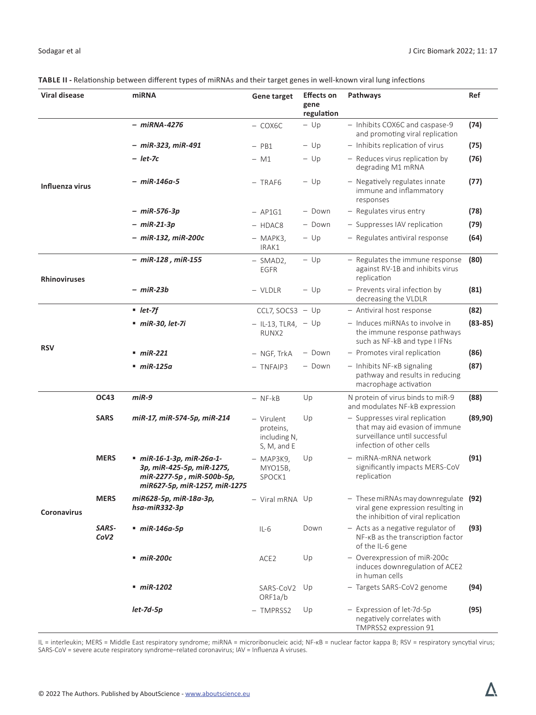|  |  | TABLE II - Relationship between different types of miRNAs and their target genes in well-known viral lung infections |
|--|--|----------------------------------------------------------------------------------------------------------------------|
|  |  |                                                                                                                      |

| Viral disease       |                           | miRNA                                                                                                              | <b>Gene target</b>                                     | <b>Effects on</b><br>gene<br>regulation | Pathways                                                                                                                      | Ref         |
|---------------------|---------------------------|--------------------------------------------------------------------------------------------------------------------|--------------------------------------------------------|-----------------------------------------|-------------------------------------------------------------------------------------------------------------------------------|-------------|
|                     |                           | - miRNA-4276                                                                                                       | $-$ COX6C                                              | $-$ Up                                  | - Inhibits COX6C and caspase-9<br>and promoting viral replication                                                             | (74)        |
|                     |                           | - miR-323, miR-491                                                                                                 | $-$ PB1                                                | $-$ Up                                  | - Inhibits replication of virus                                                                                               | (75)        |
|                     |                           | – let-7c                                                                                                           | - M1                                                   | $-$ Up                                  | - Reduces virus replication by<br>degrading M1 mRNA                                                                           | (76)        |
| Influenza virus     |                           | $- m$ iR-146a-5                                                                                                    | $-$ TRAF6                                              | $-$ Up                                  | - Negatively regulates innate<br>immune and inflammatory<br>responses                                                         | (77)        |
|                     |                           | – miR-576-3p                                                                                                       | $-$ AP1G1                                              | - Down                                  | - Regulates virus entry                                                                                                       | (78)        |
|                     |                           | – miR-21-3p                                                                                                        | - HDAC8                                                | - Down                                  | - Suppresses IAV replication                                                                                                  | (79)        |
|                     |                           | – miR-132, miR-200c                                                                                                | $-$ MAPK3,<br>IRAK1                                    | $-$ Up                                  | - Regulates antiviral response                                                                                                | (64)        |
| <b>Rhinoviruses</b> |                           | $-$ miR-128, miR-155                                                                                               | $-$ SMAD2,<br>EGFR                                     | $-$ Up                                  | - Regulates the immune response<br>against RV-1B and inhibits virus<br>replication                                            | (80)        |
|                     |                           | – miR-23b                                                                                                          | - VLDLR                                                | $-$ Up                                  | - Prevents viral infection by<br>decreasing the VLDLR                                                                         | (81)        |
|                     |                           | $let-7f$                                                                                                           | CCL7, SOCS3 $-$ Up                                     |                                         | - Antiviral host response                                                                                                     | (82)        |
|                     |                           | $min-30, let-7i$                                                                                                   | $-$ IL-13, TLR4, $-$ Up<br>RUNX <sub>2</sub>           |                                         | - Induces miRNAs to involve in<br>the immune response pathways<br>such as NF-kB and type I IFNs                               | $(83 - 85)$ |
| <b>RSV</b>          |                           | $\blacksquare$ miR-221                                                                                             | - NGF, TrkA                                            | - Down                                  | - Promotes viral replication                                                                                                  | (86)        |
|                     |                           | ■ miR-125a                                                                                                         | $-$ TNFAIP3                                            | - Down                                  | - Inhibits NF-KB signaling<br>pathway and results in reducing<br>macrophage activation                                        | (87)        |
|                     | OC43                      | miR-9                                                                                                              | $-$ NF- $kB$                                           | Up                                      | N protein of virus binds to miR-9<br>and modulates NF-kB expression                                                           | (88)        |
| <b>Coronavirus</b>  | <b>SARS</b>               | miR-17, miR-574-5p, miR-214                                                                                        | - Virulent<br>proteins,<br>including N,<br>S, M, and E | Up                                      | - Suppresses viral replication<br>that may aid evasion of immune<br>surveillance until successful<br>infection of other cells | (89, 90)    |
|                     | <b>MERS</b>               | miR-16-1-3p, miR-26a-1-<br>3p, miR-425-5p, miR-1275,<br>miR-2277-5p, miR-500b-5p,<br>miR627-5p, miR-1257, miR-1275 | $-$ MAP3K9,<br>MYO15B,<br>SPOCK1                       | Up                                      | - miRNA-mRNA network<br>significantly impacts MERS-CoV<br>replication                                                         | (91)        |
|                     | <b>MERS</b>               | miR628-5p, miR-18a-3p,<br>hsa-miR332-3p                                                                            | - Viral mRNA Up                                        |                                         | $-$ These miRNAs may down regulate (92)<br>viral gene expression resulting in<br>the inhibition of viral replication          |             |
|                     | SARS-<br>CoV <sub>2</sub> | $\blacksquare$ miR-146a-5p                                                                                         | $IL-6$                                                 | Down                                    | $-$ Acts as a negative regulator of<br>NF-KB as the transcription factor<br>of the IL-6 gene                                  | (93)        |
|                     |                           | $\_$ miR-200c                                                                                                      | ACE <sub>2</sub>                                       | Up                                      | - Overexpression of miR-200c<br>induces downregulation of ACE2<br>in human cells                                              |             |
|                     |                           | $\blacksquare$ miR-1202                                                                                            | SARS-CoV2<br>ORF1a/b                                   | Up                                      | - Targets SARS-CoV2 genome                                                                                                    | (94)        |
|                     |                           | $let$ -7d-5 $p$                                                                                                    | - TMPRSS2                                              | Up                                      | - Expression of let-7d-5p<br>negatively correlates with<br>TMPRSS2 expression 91                                              | (95)        |

IL = interleukin; MERS = Middle East respiratory syndrome; miRNA = microribonucleic acid; NF-κB = nuclear factor kappa B; RSV = respiratory syncytial virus; SARS-CoV = severe acute respiratory syndrome–related coronavirus; IAV = Influenza A viruses.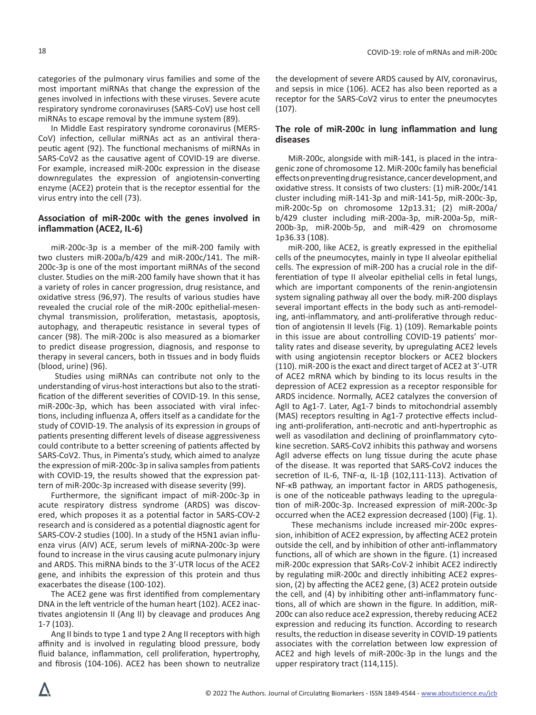categories of the pulmonary virus families and some of the most important miRNAs that change the expression of the genes involved in infections with these viruses. Severe acute respiratory syndrome coronaviruses (SARS-CoV) use host cell miRNAs to escape removal by the immune system (89).

In Middle East respiratory syndrome coronavirus (MERS-CoV) infection, cellular miRNAs act as an antiviral therapeutic agent (92). The functional mechanisms of miRNAs in SARS-CoV2 as the causative agent of COVID-19 are diverse. For example, increased miR-200c expression in the disease downregulates the expression of angiotensin-converting enzyme (ACE2) protein that is the receptor essential for the virus entry into the cell (73).

# **Association of miR-200c with the genes involved in inflammation (ACE2, IL-6)**

miR-200c-3p is a member of the miR-200 family with two clusters miR-200a/b/429 and miR-200c/141. The miR-200c-3p is one of the most important miRNAs of the second cluster. Studies on the miR-200 family have shown that it has a variety of roles in cancer progression, drug resistance, and oxidative stress (96,97). The results of various studies have revealed the crucial role of the miR-200c epithelial-mesenchymal transmission, proliferation, metastasis, apoptosis, autophagy, and therapeutic resistance in several types of cancer (98). The miR-200c is also measured as a biomarker to predict disease progression, diagnosis, and response to therapy in several cancers, both in tissues and in body fluids (blood, urine) (96).

 Studies using miRNAs can contribute not only to the understanding of virus-host interactions but also to the stratification of the different severities of COVID-19. In this sense, miR-200c-3p, which has been associated with viral infections, including influenza A, offers itself as a candidate for the study of COVID-19. The analysis of its expression in groups of patients presenting different levels of disease aggressiveness could contribute to a better screening of patients affected by SARS-CoV2. Thus, in Pimenta's study, which aimed to analyze the expression of miR-200c-3p in saliva samples from patients with COVID-19, the results showed that the expression pattern of miR-200c-3p increased with disease severity (99).

Furthermore, the significant impact of miR-200c-3p in acute respiratory distress syndrome (ARDS) was discovered, which proposes it as a potential factor in SARS-COV-2 research and is considered as a potential diagnostic agent for SARS-COV-2 studies (100). In a study of the H5N1 avian influenza virus (AIV) ACE, serum levels of miRNA-200c-3p were found to increase in the virus causing acute pulmonary injury and ARDS. This miRNA binds to the 3′-UTR locus of the ACE2 gene, and inhibits the expression of this protein and thus exacerbates the disease (100-102).

The ACE2 gene was first identified from complementary DNA in the left ventricle of the human heart (102). ACE2 inactivates angiotensin II (Ang II) by cleavage and produces Ang 1-7 (103).

Ang II binds to type 1 and type 2 Ang II receptors with high affinity and is involved in regulating blood pressure, body fluid balance, inflammation, cell proliferation, hypertrophy, and fibrosis (104-106). ACE2 has been shown to neutralize the development of severe ARDS caused by AIV, coronavirus, and sepsis in mice (106). ACE2 has also been reported as a receptor for the SARS-CoV2 virus to enter the pneumocytes (107).

# **The role of miR-200c in lung inflammation and lung diseases**

MiR-200c, alongside with miR-141, is placed in the intragenic zone of chromosome 12. MiR-200c family has beneficial effects on preventing drug resistance, cancer development, and oxidative stress. It consists of two clusters: (1) miR-200c/141 cluster including miR-141-3p and miR-141-5p, miR-200c-3p, miR-200c-5p on chromosome 12p13.31; (2) miR-200a/ b/429 cluster including miR-200a-3p, miR-200a-5p, miR-200b-3p, miR-200b-5p, and miR-429 on chromosome 1p36.33 (108).

miR-200, like ACE2, is greatly expressed in the epithelial cells of the pneumocytes, mainly in type II alveolar epithelial cells. The expression of miR-200 has a crucial role in the differentiation of type II alveolar epithelial cells in fetal lungs, which are important components of the renin-angiotensin system signaling pathway all over the body. miR-200 displays several important effects in the body such as anti-remodeling, anti-inflammatory, and anti-proliferative through reduction of angiotensin II levels (Fig. 1) (109). Remarkable points in this issue are about controlling COVID-19 patients' mortality rates and disease severity, by upregulating ACE2 levels with using angiotensin receptor blockers or ACE2 blockers (110). miR-200 is the exact and direct target of ACE2 at 3′-UTR of ACE2 mRNA which by binding to its locus results in the depression of ACE2 expression as a receptor responsible for ARDS incidence. Normally, ACE2 catalyzes the conversion of AgII to Ag1-7. Later, Ag1-7 binds to mitochondrial assembly (MAS) receptors resulting in Ag1-7 protective effects including anti-proliferation, anti-necrotic and anti-hypertrophic as well as vasodilation and declining of proinflammatory cytokine secretion. SARS-CoV2 inhibits this pathway and worsens AgII adverse effects on lung tissue during the acute phase of the disease. It was reported that SARS-CoV2 induces the secretion of IL-6, TNF-α, IL-1β (102,111-113). Activation of NF-κB pathway, an important factor in ARDS pathogenesis, is one of the noticeable pathways leading to the upregulation of miR-200c-3p. Increased expression of miR-200c-3p occurred when the ACE2 expression decreased (100) (Fig. 1).

 These mechanisms include increased mir-200c expression, inhibition of ACE2 expression, by affecting ACE2 protein outside the cell, and by inhibition of other anti-inflammatory functions, all of which are shown in the figure. (1) increased miR-200c expression that SARs-CoV-2 inhibit ACE2 indirectly by regulating miR-200c and directly inhibiting ACE2 expression, (2) by affecting the ACE2 gene, (3) ACE2 protein outside the cell, and (4) by inhibiting other anti-inflammatory functions, all of which are shown in the figure. In addition, miR-200c can also reduce ace2 expression, thereby reducing ACE2 expression and reducing its function. According to research results, the reduction in disease severity in COVID-19 patients associates with the correlation between low expression of ACE2 and high levels of miR-200c-3p in the lungs and the upper respiratory tract (114,115).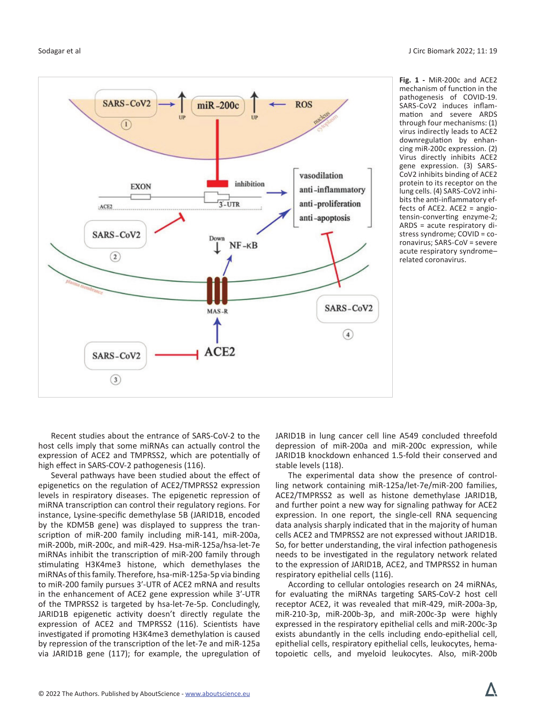

**Fig. 1 -** MiR-200c and ACE2 mechanism of function in the pathogenesis of COVID-19. SARS-CoV2 induces inflammation and severe ARDS through four mechanisms: (1) virus indirectly leads to ACE2 downregulation by enhancing miR-200c expression. (2) Virus directly inhibits ACE2 gene expression. (3) SARS-CoV2 inhibits binding of ACE2 protein to its receptor on the lung cells. (4) SARS-CoV2 inhibits the anti-inflammatory effects of ACE2. ACE2 = angiotensin-converting enzyme-2; ARDS = acute respiratory distress syndrome; COVID = coronavirus; SARS-CoV = severe acute respiratory syndrome– related coronavirus.

Recent studies about the entrance of SARS-CoV-2 to the host cells imply that some miRNAs can actually control the expression of ACE2 and TMPRSS2, which are potentially of high effect in SARS-COV-2 pathogenesis (116).

Several pathways have been studied about the effect of epigenetics on the regulation of ACE2/TMPRSS2 expression levels in respiratory diseases. The epigenetic repression of miRNA transcription can control their regulatory regions. For instance, Lysine-specific demethylase 5B (JARID1B, encoded by the KDM5B gene) was displayed to suppress the transcription of miR-200 family including miR-141, miR-200a, miR-200b, miR-200c, and miR-429. Hsa-miR-125a/hsa-let-7e miRNAs inhibit the transcription of miR-200 family through stimulating H3K4me3 histone, which demethylases the miRNAs of this family. Therefore, hsa-miR-125a-5p via binding to miR-200 family pursues 3′-UTR of ACE2 mRNA and results in the enhancement of ACE2 gene expression while 3′-UTR of the TMPRSS2 is targeted by hsa-let-7e-5p. Concludingly, JARID1B epigenetic activity doesn't directly regulate the expression of ACE2 and TMPRSS2 (116). Scientists have investigated if promoting H3K4me3 demethylation is caused by repression of the transcription of the let-7e and miR-125a via JARID1B gene (117); for example, the upregulation of JARID1B in lung cancer cell line A549 concluded threefold depression of miR-200a and miR-200c expression, while JARID1B knockdown enhanced 1.5-fold their conserved and stable levels (118).

The experimental data show the presence of controlling network containing miR-125a/let-7e/miR-200 families, ACE2/TMPRSS2 as well as histone demethylase JARID1B, and further point a new way for signaling pathway for ACE2 expression. In one report, the single-cell RNA sequencing data analysis sharply indicated that in the majority of human cells ACE2 and TMPRSS2 are not expressed without JARID1B. So, for better understanding, the viral infection pathogenesis needs to be investigated in the regulatory network related to the expression of JARID1B, ACE2, and TMPRSS2 in human respiratory epithelial cells (116).

According to cellular ontologies research on 24 miRNAs, for evaluating the miRNAs targeting SARS-CoV-2 host cell receptor ACE2, it was revealed that miR-429, miR-200a-3p, miR-210-3p, miR-200b-3p, and miR-200c-3p were highly expressed in the respiratory epithelial cells and miR-200c-3p exists abundantly in the cells including endo-epithelial cell, epithelial cells, respiratory epithelial cells, leukocytes, hematopoietic cells, and myeloid leukocytes. Also, miR-200b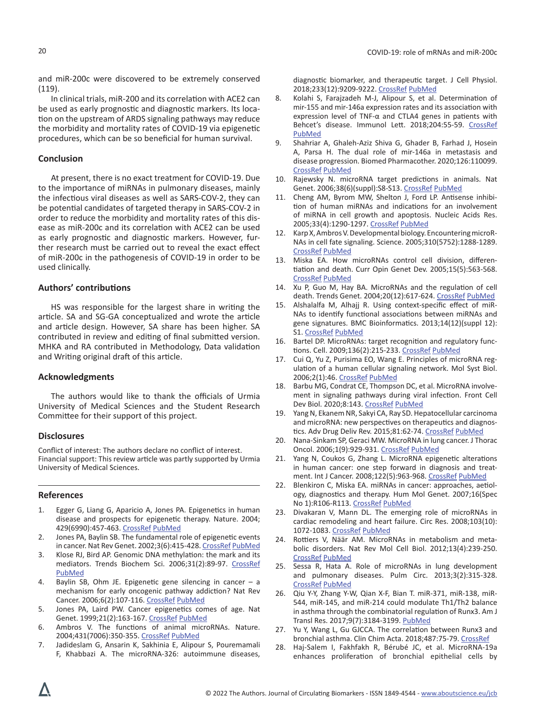and miR-200c were discovered to be extremely conserved (119).

In clinical trials, miR-200 and its correlation with ACE2 can be used as early prognostic and diagnostic markers. Its location on the upstream of ARDS signaling pathways may reduce the morbidity and mortality rates of COVID-19 via epigenetic procedures, which can be so beneficial for human survival.

#### **Conclusion**

At present, there is no exact treatment for COVID-19. Due to the importance of miRNAs in pulmonary diseases, mainly the infectious viral diseases as well as SARS-COV-2, they can be potential candidates of targeted therapy in SARS-COV-2 in order to reduce the morbidity and mortality rates of this disease as miR-200c and its correlation with ACE2 can be used as early prognostic and diagnostic markers. However, further research must be carried out to reveal the exact effect of miR-200c in the pathogenesis of COVID-19 in order to be used clinically.

# **Authors' contributions**

HS was responsible for the largest share in writing the article. SA and SG-GA conceptualized and wrote the article and article design. However, SA share has been higher. SA contributed in review and editing of final submitted version. MHKA and RA contributed in Methodology, Data validation and Writing original draft of this article.

#### **Acknowledgments**

The authors would like to thank the officials of Urmia University of Medical Sciences and the Student Research Committee for their support of this project.

#### **Disclosures**

Conflict of interest: The authors declare no conflict of interest. Financial support: This review article was partly supported by Urmia University of Medical Sciences.

#### **References**

- 1. Egger G, Liang G, Aparicio A, Jones PA. Epigenetics in human disease and prospects for epigenetic therapy. Nature. 2004; 429(6990):457-463. [CrossRef](https://doi.org/10.1038/nature02625) [PubMed](https://www.ncbi.nlm.nih.gov/pubmed/15164071)
- 2. Jones PA, Baylin SB. The fundamental role of epigenetic events in cancer. Nat Rev Genet. 2002;3(6):415-428. [CrossRef](https://doi.org/10.1038/nrg816) [PubMed](https://www.ncbi.nlm.nih.gov/pubmed/12042769)
- 3. Klose RJ, Bird AP. Genomic DNA methylation: the mark and its mediators. Trends Biochem Sci. 2006;31(2):89-97. [CrossRef](https://doi.org/10.1016/j.tibs.2005.12.008) [PubMed](https://www.ncbi.nlm.nih.gov/pubmed/16403636)
- 4. Baylin SB, Ohm JE. Epigenetic gene silencing in cancer a mechanism for early oncogenic pathway addiction? Nat Rev Cancer. 2006;6(2):107-116. [CrossRef](https://doi.org/10.1038/nrc1799) [PubMed](https://www.ncbi.nlm.nih.gov/pubmed/16491070)
- 5. Jones PA, Laird PW. Cancer epigenetics comes of age. Nat Genet. 1999;21(2):163-167. [CrossRef](https://doi.org/10.1038/5947) [PubMed](https://www.ncbi.nlm.nih.gov/pubmed/9988266)
- 6. Ambros V. The functions of animal microRNAs. Nature. 2004;431(7006):350-355. [CrossRef](https://doi.org/10.1038/nature02871) [PubMed](https://www.ncbi.nlm.nih.gov/pubmed/15372042)
- 7. Jadideslam G, Ansarin K, Sakhinia E, Alipour S, Pouremamali F, Khabbazi A. The microRNA-326: autoimmune diseases,

diagnostic biomarker, and therapeutic target. J Cell Physiol. 2018;233(12):9209-9222. [CrossRef](https://doi.org/10.1002/jcp.26949) [PubMed](https://www.ncbi.nlm.nih.gov/pubmed/30078204)

- 8. Kolahi S, Farajzadeh M-J, Alipour S, et al. Determination of mir-155 and mir-146a expression rates and its association with expression level of TNF-α and CTLA4 genes in patients with Behcet's disease. Immunol Lett. 2018;204:55-59. [CrossRef](https://doi.org/10.1016/j.imlet.2018.10.012) [PubMed](https://www.ncbi.nlm.nih.gov/pubmed/30366049)
- 9. Shahriar A, Ghaleh-Aziz Shiva G, Ghader B, Farhad J, Hosein A, Parsa H. The dual role of mir-146a in metastasis and disease progression. Biomed Pharmacother. 2020;126:110099. [CrossRef](https://doi.org/10.1016/j.biopha.2020.110099) [PubMed](https://www.ncbi.nlm.nih.gov/pubmed/32179200)
- 10. Rajewsky N. microRNA target predictions in animals. Nat Genet. 2006;38(6)(suppl):S8-S13. [CrossRef](https://doi.org/10.1038/ng1798) [PubMed](https://www.ncbi.nlm.nih.gov/pubmed/16736023)
- 11. Cheng AM, Byrom MW, Shelton J, Ford LP. Antisense inhibition of human miRNAs and indications for an involvement of miRNA in cell growth and apoptosis. Nucleic Acids Res. 2005;33(4):1290-1297. [CrossRef](https://doi.org/10.1093/nar/gki200) [PubMed](https://www.ncbi.nlm.nih.gov/pubmed/15741182)
- 12. Karp X, Ambros V. Developmental biology. Encountering microR-NAs in cell fate signaling. Science. 2005;310(5752):1288-1289. [CrossRef](https://doi.org/10.1126/science.1121566) [PubMed](https://www.ncbi.nlm.nih.gov/pubmed/16311325)
- 13. Miska EA. How microRNAs control cell division, differentiation and death. Curr Opin Genet Dev. 2005;15(5):563-568. [CrossRef](https://doi.org/10.1016/j.gde.2005.08.005) [PubMed](https://www.ncbi.nlm.nih.gov/pubmed/16099643)
- 14. Xu P, Guo M, Hay BA. MicroRNAs and the regulation of cell death. Trends Genet. 2004;20(12):617-624. [CrossRef](https://doi.org/10.1016/j.tig.2004.09.010) [PubMed](https://www.ncbi.nlm.nih.gov/pubmed/15522457)
- 15. Alshalalfa M, Alhajj R. Using context-specific effect of miR-NAs to identify functional associations between miRNAs and gene signatures. BMC Bioinformatics. 2013;14(12)(suppl 12): S1. [CrossRef](https://doi.org/10.1186/1471-2105-14-S12-S1) [PubMed](https://www.ncbi.nlm.nih.gov/pubmed/24267745)
- 16. Bartel DP. MicroRNAs: target recognition and regulatory functions. Cell. 2009;136(2):215-233. [CrossRef](https://doi.org/10.1016/j.cell.2009.01.002) [PubMed](https://pubmed.ncbi.nlm.nih.gov/19167326/)
- 17. Cui Q, Yu Z, Purisima EO, Wang E. Principles of microRNA regulation of a human cellular signaling network. Mol Syst Biol. 2006;2(1):46. [CrossRef](https://doi.org/10.1038/msb4100089) [PubMed](https://www.ncbi.nlm.nih.gov/pubmed/16969338)
- 18. Barbu MG, Condrat CE, Thompson DC, et al. MicroRNA involvement in signaling pathways during viral infection. Front Cell Dev Biol. 2020;8:143. [CrossRef](https://doi.org/10.3389/fcell.2020.00143) [PubMed](https://www.ncbi.nlm.nih.gov/pubmed/32211411)
- 19. Yang N, Ekanem NR, Sakyi CA, Ray SD. Hepatocellular carcinoma and microRNA: new perspectives on therapeutics and diagnostics. Adv Drug Deliv Rev. 2015;81:62-74. [CrossRef](https://doi.org/10.1016/j.addr.2014.10.029) [PubMed](https://www.ncbi.nlm.nih.gov/pubmed/25450260)
- 20. Nana-Sinkam SP, Geraci MW. MicroRNA in lung cancer. J Thorac Oncol. 2006;1(9):929-931. [CrossRef](https://doi.org/10.1097/01243894-200611000-00002) [PubMed](https://www.ncbi.nlm.nih.gov/pubmed/17409974)
- 21. Yang N, Coukos G, Zhang L. MicroRNA epigenetic alterations in human cancer: one step forward in diagnosis and treatment. Int J Cancer. 2008;122(5):963-968. [CrossRef](https://doi.org/10.1002/ijc.23325) [PubMed](https://www.ncbi.nlm.nih.gov/pubmed/18098137)
- 22. Blenkiron C, Miska EA. miRNAs in cancer: approaches, aetiology, diagnostics and therapy. Hum Mol Genet. 2007;16(Spec No 1):R106-R113. [CrossRef](https://doi.org/10.1093/hmg/ddm056) [PubMed](https://www.ncbi.nlm.nih.gov/pubmed/17613543)
- 23. Divakaran V, Mann DL. The emerging role of microRNAs in cardiac remodeling and heart failure. Circ Res. 2008;103(10): 1072-1083. [CrossRef](https://doi.org/10.1161/CIRCRESAHA.108.183087) [PubMed](https://www.ncbi.nlm.nih.gov/pubmed/18988904)
- 24. Rottiers V, Näär AM. MicroRNAs in metabolism and metabolic disorders. Nat Rev Mol Cell Biol. 2012;13(4):239-250. [CrossRef](https://doi.org/10.1038/nrm3313) [PubMed](https://www.ncbi.nlm.nih.gov/pubmed/22436747)
- 25. Sessa R, Hata A. Role of microRNAs in lung development and pulmonary diseases. Pulm Circ. 2013;3(2):315-328. [CrossRef](https://doi.org/10.4103/2045-8932.114758) [PubMed](https://www.ncbi.nlm.nih.gov/pubmed/24015331)
- 26. Qiu Y-Y, Zhang Y-W, Qian X-F, Bian T. miR-371, miR-138, miR-544, miR-145, and miR-214 could modulate Th1/Th2 balance in asthma through the combinatorial regulation of Runx3. Am J Transl Res. 2017;9(7):3184-3199. [PubMed](https://www.ncbi.nlm.nih.gov/pubmed/28804539)
- 27. Yu Y, Wang L, Gu GJCCA. The correlation between Runx3 and bronchial asthma. Clin Chim Acta. 2018;487:75-79. [CrossRef](https://doi.org/10.1016/j.cca.2018.09.023)
- 28. Haj‐Salem I, Fakhfakh R, Bérubé JC, et al. MicroRNA‐19a enhances proliferation of bronchial epithelial cells by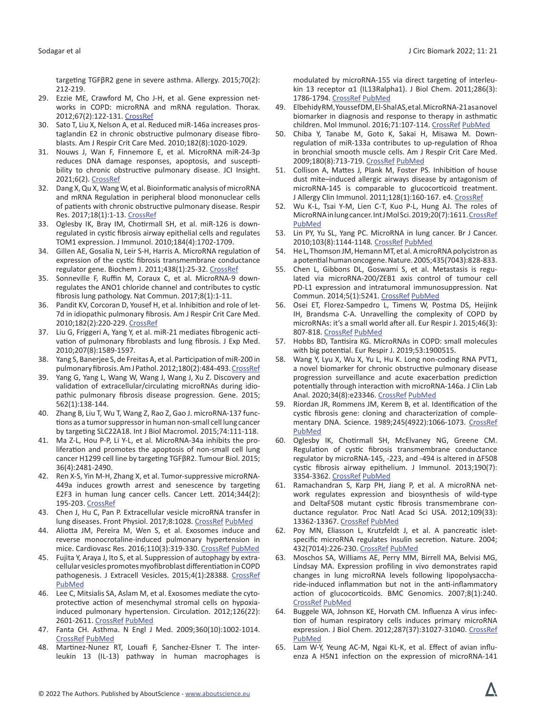targeting TGFβR2 gene in severe asthma. Allergy. 2015;70(2): 212-219.

- 29. Ezzie ME, Crawford M, Cho J-H, et al. Gene expression networks in COPD: microRNA and mRNA regulation. Thorax. 2012;67(2):122-131. [CrossRef](https://doi.org/10.1136/thoraxjnl-2011-200089)
- 30. Sato T, Liu X, Nelson A, et al. Reduced miR-146a increases prostaglandin E2 in chronic obstructive pulmonary disease fibroblasts. Am J Respir Crit Care Med. 2010;182(8):1020-1029.
- 31. Nouws J, Wan F, Finnemore E, et al. MicroRNA miR-24-3p reduces DNA damage responses, apoptosis, and susceptibility to chronic obstructive pulmonary disease. JCI Insight. 2021;6(2). [CrossRef](https://doi.org/10.1172/jci.insight.134218)
- 32. Dang X, Qu X, Wang W, et al. Bioinformatic analysis of microRNA and mRNA Regulation in peripheral blood mononuclear cells of patients with chronic obstructive pulmonary disease. Respir Res. 2017;18(1):1-13. [CrossRef](https://doi.org/10.1186/s12931-016-0486-5)
- 33. Oglesby IK, Bray IM, Chotirmall SH, et al. miR-126 is downregulated in cystic fibrosis airway epithelial cells and regulates TOM1 expression. J Immunol. 2010;184(4):1702-1709.
- 34. Gillen AE, Gosalia N, Leir S-H, Harris A. MicroRNA regulation of expression of the cystic fibrosis transmembrane conductance regulator gene. Biochem J. 2011;438(1):25-32. [CrossRef](https://doi.org/10.1042/BJ20110672)
- 35. Sonneville F, Ruffin M, Coraux C, et al. MicroRNA-9 downregulates the ANO1 chloride channel and contributes to cystic fibrosis lung pathology. Nat Commun. 2017;8(1):1-11.
- 36. Pandit KV, Corcoran D, Yousef H, et al. Inhibition and role of let-7d in idiopathic pulmonary fibrosis. Am J Respir Crit Care Med. 2010;182(2):220-229. [CrossRef](https://doi.org/10.1164/rccm.200911-1698OC)
- 37. Liu G, Friggeri A, Yang Y, et al. miR-21 mediates fibrogenic activation of pulmonary fibroblasts and lung fibrosis. J Exp Med. 2010;207(8):1589-1597.
- 38. Yang S, Banerjee S, de Freitas A, et al. Participation of miR-200 in pulmonary fibrosis. Am J Pathol. 2012;180(2):484-493. [CrossRef](https://doi.org/10.1016/j.ajpath.2011.10.005)
- 39. Yang G, Yang L, Wang W, Wang J, Wang J, Xu Z. Discovery and validation of extracellular/circulating microRNAs during idiopathic pulmonary fibrosis disease progression. Gene. 2015; 562(1):138-144.
- 40. Zhang B, Liu T, Wu T, Wang Z, Rao Z, Gao J. microRNA-137 functions as a tumor suppressor in human non-small cell lung cancer by targeting SLC22A18. Int J Biol Macromol. 2015;74:111-118.
- 41. Ma Z-L, Hou P-P, Li Y-L, et al. MicroRNA-34a inhibits the proliferation and promotes the apoptosis of non-small cell lung cancer H1299 cell line by targeting TGFβR2. Tumour Biol. 2015; 36(4):2481-2490.
- 42. Ren X-S, Yin M-H, Zhang X, et al. Tumor-suppressive microRNA-449a induces growth arrest and senescence by targeting E2F3 in human lung cancer cells. Cancer Lett. 2014;344(2): 195-203. [CrossRef](https://doi.org/10.1016/j.canlet.2013.10.031)
- 43. Chen J, Hu C, Pan P. Extracellular vesicle microRNA transfer in lung diseases. Front Physiol. 2017;8:1028. [CrossRef](https://doi.org/10.3389/fphys.2017.01028) [PubMed](https://www.ncbi.nlm.nih.gov/pubmed/29311962)
- 44. Aliotta JM, Pereira M, Wen S, et al. Exosomes induce and reverse monocrotaline-induced pulmonary hypertension in mice. Cardiovasc Res. 2016;110(3):319-330. [CrossRef](https://doi.org/10.1093/cvr/cvw054) [PubMed](https://www.ncbi.nlm.nih.gov/pubmed/26980205)
- 45. Fujita Y, Araya J, Ito S, et al. Suppression of autophagy by extracellular vesicles promotes myofibroblast differentiation in COPD pathogenesis. J Extracell Vesicles. 2015;4(1):28388. [CrossRef](https://doi.org/10.3402/jev.v4.28388) [PubMed](https://www.ncbi.nlm.nih.gov/pubmed/26563733)
- 46. Lee C, Mitsialis SA, Aslam M, et al. Exosomes mediate the cytoprotective action of mesenchymal stromal cells on hypoxiainduced pulmonary hypertension. Circulation. 2012;126(22): 2601-2611. [CrossRef](https://doi.org/10.1161/CIRCULATIONAHA.112.114173) [PubMed](https://www.ncbi.nlm.nih.gov/pubmed/23114789)
- 47. Fanta CH. Asthma. N Engl J Med. 2009;360(10):1002-1014. [CrossRef](https://doi.org/10.1056/NEJMra0804579) [PubMed](https://www.ncbi.nlm.nih.gov/pubmed/19264689)
- 48. Martinez-Nunez RT, Louafi F, Sanchez-Elsner T. The interleukin 13 (IL-13) pathway in human macrophages is

modulated by microRNA-155 via direct targeting of interleukin 13 receptor α1 (IL13Ralpha1). J Biol Chem. 2011;286(3): 1786-1794. [CrossRef](https://doi.org/10.1074/jbc.M110.169367) [PubMed](https://www.ncbi.nlm.nih.gov/pubmed/21097505)

- 49. Elbehidy RM, Youssef DM, El-Shal AS, et al. MicroRNA-21 as a novel biomarker in diagnosis and response to therapy in asthmatic children. Mol Immunol. 2016;71:107-114. [CrossRef](https://doi.org/10.1016/j.molimm.2015.12.015) [PubMed](https://www.ncbi.nlm.nih.gov/pubmed/26874829)
- 50. Chiba Y, Tanabe M, Goto K, Sakai H, Misawa M. Downregulation of miR-133a contributes to up-regulation of Rhoa in bronchial smooth muscle cells. Am J Respir Crit Care Med. 2009;180(8):713-719. [CrossRef](https://doi.org/10.1164/rccm.200903-0325OC) [PubMed](https://www.ncbi.nlm.nih.gov/pubmed/19644046)
- 51. Collison A, Mattes J, Plank M, Foster PS. Inhibition of house dust mite–induced allergic airways disease by antagonism of microRNA-145 is comparable to glucocorticoid treatment. J Allergy Clin Immunol. 2011;128(1):160-167. e4. [CrossRef](https://doi.org/10.1016/j.jaci.2011.04.005)
- 52. Wu K-L, Tsai Y-M, Lien C-T, Kuo P-L, Hung AJ. The roles of MicroRNA in lung cancer. Int J Mol Sci. 2019;20(7):1611. [CrossRef](https://doi.org/10.3390/ijms20071611) [PubMed](https://www.ncbi.nlm.nih.gov/pubmed/30935143)
- 53. Lin PY, Yu SL, Yang PC. MicroRNA in lung cancer. Br J Cancer. 2010;103(8):1144-1148. [CrossRef](https://doi.org/10.1038/sj.bjc.6605901) [PubMed](https://www.ncbi.nlm.nih.gov/pubmed/20859290)
- 54. He L, Thomson JM, Hemann MT, et al. A microRNA polycistron as a potential human oncogene. Nature. 2005;435(7043):828-833.
- 55. Chen L, Gibbons DL, Goswami S, et al. Metastasis is regulated via microRNA-200/ZEB1 axis control of tumour cell PD-L1 expression and intratumoral immunosuppression. Nat Commun. 2014;5(1):5241. [CrossRef](https://doi.org/10.1038/ncomms6241) [PubMed](https://www.ncbi.nlm.nih.gov/pubmed/25348003)
- 56. Osei ET, Florez-Sampedro L, Timens W, Postma DS, Heijink IH, Brandsma C-A. Unravelling the complexity of COPD by microRNAs: it's a small world after all. Eur Respir J. 2015;46(3): 807-818. [CrossRef](https://doi.org/10.1183/13993003.02139-2014) [PubMed](https://www.ncbi.nlm.nih.gov/pubmed/26250493)
- 57. Hobbs BD, Tantisira KG. MicroRNAs in COPD: small molecules with big potential. Eur Respir J. 2019;53:1900515.
- 58. Wang Y, Lyu X, Wu X, Yu L, Hu K. Long non-coding RNA PVT1, a novel biomarker for chronic obstructive pulmonary disease progression surveillance and acute exacerbation prediction potentially through interaction with microRNA-146a. J Clin Lab Anal. 2020;34(8):e23346. [CrossRef](https://doi.org/10.1002/jcla.23346) [PubMed](https://www.ncbi.nlm.nih.gov/pubmed/32342557)
- 59. Riordan JR, Rommens JM, Kerem B, et al. Identification of the cystic fibrosis gene: cloning and characterization of complementary DNA. Science. 1989;245(4922):1066-1073. [CrossRef](https://doi.org/10.1126/science.2475911) [PubMed](https://www.ncbi.nlm.nih.gov/pubmed/2475911)
- 60. Oglesby IK, Chotirmall SH, McElvaney NG, Greene CM. Regulation of cystic fibrosis transmembrane conductance regulator by microRNA-145, -223, and -494 is altered in ΔF508 cystic fibrosis airway epithelium. J Immunol. 2013;190(7): 3354-3362. [CrossRef](https://doi.org/10.4049/jimmunol.1202960) [PubMed](https://www.ncbi.nlm.nih.gov/pubmed/23436935)
- 61. Ramachandran S, Karp PH, Jiang P, et al. A microRNA network regulates expression and biosynthesis of wild-type and DeltaF508 mutant cystic fibrosis transmembrane conductance regulator. Proc Natl Acad Sci USA. 2012;109(33): 13362-13367. [CrossRef](https://doi.org/10.1073/pnas.1210906109) [PubMed](https://www.ncbi.nlm.nih.gov/pubmed/22853952)
- 62. Poy MN, Eliasson L, Krutzfeldt J, et al. A pancreatic isletspecific microRNA regulates insulin secretion. Nature. 2004; 432(7014):226-230. [CrossRef](https://doi.org/10.1038/nature03076) [PubMed](https://www.ncbi.nlm.nih.gov/pubmed/15538371)
- 63. Moschos SA, Williams AE, Perry MM, Birrell MA, Belvisi MG, Lindsay MA. Expression profiling in vivo demonstrates rapid changes in lung microRNA levels following lipopolysaccharide-induced inflammation but not in the anti-inflammatory action of glucocorticoids. BMC Genomics. 2007;8(1):240. [CrossRef](https://doi.org/10.1186/1471-2164-8-240) [PubMed](https://www.ncbi.nlm.nih.gov/pubmed/17640343)
- 64. Buggele WA, Johnson KE, Horvath CM. Influenza A virus infection of human respiratory cells induces primary microRNA expression. J Biol Chem. 2012;287(37):31027-31040. [CrossRef](https://doi.org/10.1074/jbc.M112.387670) [PubMed](https://www.ncbi.nlm.nih.gov/pubmed/22822053)
- 65. Lam W-Y, Yeung AC-M, Ngai KL-K, et al. Effect of avian influenza A H5N1 infection on the expression of microRNA-141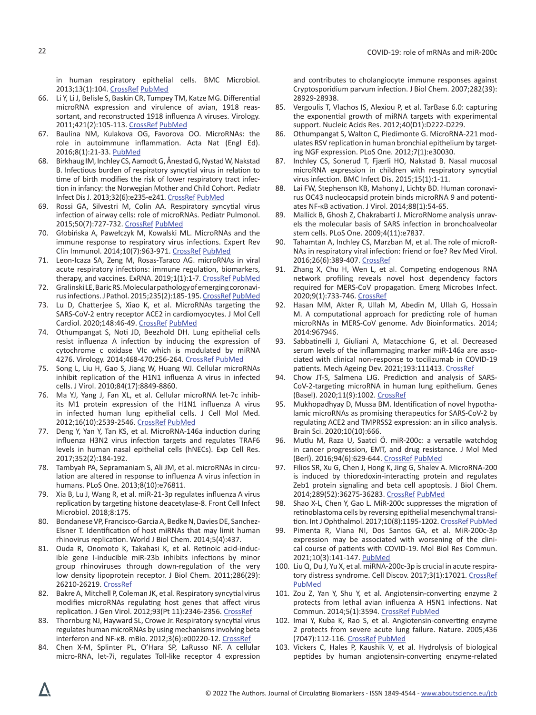in human respiratory epithelial cells. BMC Microbiol. 2013;13(1):104. [CrossRef](https://doi.org/10.1186/1471-2180-13-104) [PubMed](https://www.ncbi.nlm.nih.gov/pubmed/23663545)

- 66. Li Y, Li J, Belisle S, Baskin CR, Tumpey TM, Katze MG. Differential microRNA expression and virulence of avian, 1918 reassortant, and reconstructed 1918 influenza A viruses. Virology. 2011;421(2):105-113. [CrossRef](https://doi.org/10.1016/j.virol.2011.09.011) [PubMed](https://www.ncbi.nlm.nih.gov/pubmed/21999992)
- 67. Baulina NM, Kulakova OG, Favorova OO. MicroRNAs: the role in autoimmune inflammation. Acta Nat (Engl Ed). 2016;8(1):21-33. [PubMed](https://www.ncbi.nlm.nih.gov/pubmed/27099782)
- 68. Birkhaug IM, Inchley CS, Aamodt G, Ånestad G, Nystad W, Nakstad B. Infectious burden of respiratory syncytial virus in relation to time of birth modifies the risk of lower respiratory tract infection in infancy: the Norwegian Mother and Child Cohort. Pediatr Infect Dis J. 2013;32(6):e235-e241. [CrossRef](https://doi.org/10.1097/INF.0b013e31828ab9ff) [PubMed](https://www.ncbi.nlm.nih.gov/pubmed/23385949)
- 69. Rossi GA, Silvestri M, Colin AA. Respiratory syncytial virus infection of airway cells: role of microRNAs. Pediatr Pulmonol. 2015;50(7):727-732. [CrossRef](https://doi.org/10.1002/ppul.23193) [PubMed](https://www.ncbi.nlm.nih.gov/pubmed/25847505)
- 70. Głobińska A, Pawełczyk M, Kowalski ML. MicroRNAs and the immune response to respiratory virus infections. Expert Rev Clin Immunol. 2014;10(7):963-971. [CrossRef](https://doi.org/10.1586/1744666X.2014.913482) [PubMed](https://www.ncbi.nlm.nih.gov/pubmed/24784476)
- 71. Leon-Icaza SA, Zeng M, Rosas-Taraco AG. microRNAs in viral acute respiratory infections: immune regulation, biomarkers, therapy, and vaccines. ExRNA. 2019;1(1):1-7. [CrossRef](https://doi.org/10.1186/s41544-018-0004-7) [PubMed](https://www.ncbi.nlm.nih.gov/pubmed/34171007)
- 72. Gralinski LE, Baric RS. Molecular pathology of emerging coronavirus infections.J Pathol. 2015;235(2):185-195. [CrossRef](https://doi.org/10.1002/path.4454) [PubMed](https://www.ncbi.nlm.nih.gov/pubmed/25270030)
- 73. Lu D, Chatterjee S, Xiao K, et al. MicroRNAs targeting the SARS-CoV-2 entry receptor ACE2 in cardiomyocytes. J Mol Cell Cardiol. 2020;148:46-49. [CrossRef](https://doi.org/10.1016/j.yjmcc.2020.08.017) [PubMed](https://www.ncbi.nlm.nih.gov/pubmed/32891636)
- 74. Othumpangat S, Noti JD, Beezhold DH. Lung epithelial cells resist influenza A infection by inducing the expression of cytochrome c oxidase VIc which is modulated by miRNA 4276. Virology. 2014;468-470:256-264. [CrossRef](https://doi.org/10.1016/j.virol.2014.08.007) [PubMed](https://www.ncbi.nlm.nih.gov/pubmed/25203353)
- 75. Song L, Liu H, Gao S, Jiang W, Huang WJ. Cellular microRNAs inhibit replication of the H1N1 influenza A virus in infected cells. J Virol. 2010;84(17):8849-8860.
- 76. Ma YJ, Yang J, Fan XL, et al. Cellular microRNA let-7c inhibits M1 protein expression of the H1N1 influenza A virus in infected human lung epithelial cells. J Cell Mol Med. 2012;16(10):2539-2546. [CrossRef](https://doi.org/10.1111/j.1582-4934.2012.01572.x) [PubMed](https://www.ncbi.nlm.nih.gov/pubmed/22452878)
- 77. Deng Y, Yan Y, Tan KS, et al. MicroRNA-146a induction during influenza H3N2 virus infection targets and regulates TRAF6 levels in human nasal epithelial cells (hNECs). Exp Cell Res. 2017;352(2):184-192.
- 78. Tambyah PA, Sepramaniam S, Ali JM, et al. microRNAs in circulation are altered in response to influenza A virus infection in humans. PLoS One. 2013;8(10):e76811.
- 79. Xia B, Lu J, Wang R, et al. miR-21-3p regulates influenza A virus replication by targeting histone deacetylase-8. Front Cell Infect Microbiol. 2018;8:175.
- 80. Bondanese VP, Francisco-Garcia A, Bedke N, Davies DE, Sanchez-Elsner T. Identification of host miRNAs that may limit human rhinovirus replication. World J Biol Chem. 2014;5(4):437.
- 81. Ouda R, Onomoto K, Takahasi K, et al. Retinoic acid-inducible gene I-inducible miR-23b inhibits infections by minor group rhinoviruses through down-regulation of the very low density lipoprotein receptor. J Biol Chem. 2011;286(29): 26210-26219. [CrossRef](https://doi.org/10.1074/jbc.M111.229856)
- 82. Bakre A, Mitchell P, Coleman JK, et al. Respiratory syncytial virus modifies microRNAs regulating host genes that affect virus replication. J Gen Virol. 2012;93(Pt 11):2346-2356. [CrossRef](https://doi.org/10.1099/vir.0.044255-0)
- 83. Thornburg NJ, Hayward SL, Crowe Jr. Respiratory syncytial virus regulates human microRNAs by using mechanisms involving beta interferon and NF-κB. mBio. 2012;3(6):e00220-12. [CrossRef](https://doi.org/10.1128/mBio.00220-12)
- 84. Chen X-M, Splinter PL, O'Hara SP, LaRusso NF. A cellular micro-RNA, let-7i, regulates Toll-like receptor 4 expression

and contributes to cholangiocyte immune responses against Cryptosporidium parvum infection. J Biol Chem. 2007;282(39): 28929-28938.

- 85. Vergoulis T, Vlachos IS, Alexiou P, et al. TarBase 6.0: capturing the exponential growth of miRNA targets with experimental support. Nucleic Acids Res. 2012;40(D1):D222-D229.
- 86. Othumpangat S, Walton C, Piedimonte G. MicroRNA-221 modulates RSV replication in human bronchial epithelium by targeting NGF expression. PLoS One. 2012;7(1):e30030.
- 87. Inchley CS, Sonerud T, Fjærli HO, Nakstad B. Nasal mucosal microRNA expression in children with respiratory syncytial virus infection. BMC Infect Dis. 2015;15(1):1-11.
- 88. Lai FW, Stephenson KB, Mahony J, Lichty BD. Human coronavirus OC43 nucleocapsid protein binds microRNA 9 and potentiates NF-κB activation. J Virol. 2014;88(1):54-65.
- 89. Mallick B, Ghosh Z, Chakrabarti J. MicroRNome analysis unravels the molecular basis of SARS infection in bronchoalveolar stem cells. PLoS One. 2009;4(11):e7837.
- 90. Tahamtan A, Inchley CS, Marzban M, et al. The role of microR-NAs in respiratory viral infection: friend or foe? Rev Med Virol. 2016;26(6):389-407. [CrossRef](https://doi.org/10.1002/rmv.1894)
- 91. Zhang X, Chu H, Wen L, et al. Competing endogenous RNA network profiling reveals novel host dependency factors required for MERS-CoV propagation. Emerg Microbes Infect. 2020;9(1):733-746. [CrossRef](https://doi.org/10.1080/22221751.2020.1738277)
- 92. Hasan MM, Akter R, Ullah M, Abedin M, Ullah G, Hossain M. A computational approach for predicting role of human microRNAs in MERS-CoV genome. Adv Bioinformatics. 2014; 2014:967946.
- 93. Sabbatinelli J, Giuliani A, Matacchione G, et al. Decreased serum levels of the inflammaging marker miR-146a are associated with clinical non-response to tocilizumab in COVID-19 patients. Mech Ageing Dev. 2021;193:111413. [CrossRef](https://doi.org/10.1016/j.mad.2020.111413)
- 94. Chow JT-S, Salmena LJG. Prediction and analysis of SARS-CoV-2-targeting microRNA in human lung epithelium. Genes (Basel). 2020;11(9):1002. [CrossRef](https://doi.org/10.3390/genes11091002)
- 95. Mukhopadhyay D, Mussa BM. Identification of novel hypothalamic microRNAs as promising therapeutics for SARS-CoV-2 by regulating ACE2 and TMPRSS2 expression: an in silico analysis. Brain Sci. 2020;10(10):666.
- 96. Mutlu M, Raza U, Saatci Ö. miR-200c: a versatile watchdog in cancer progression, EMT, and drug resistance. J Mol Med (Berl). 2016;94(6):629-644. [CrossRef](https://doi.org/10.1007/s00109-016-1420-5) [PubMed](https://www.ncbi.nlm.nih.gov/pubmed/27094812)
- 97. Filios SR, Xu G, Chen J, Hong K, Jing G, Shalev A. MicroRNA-200 is induced by thioredoxin-interacting protein and regulates Zeb1 protein signaling and beta cell apoptosis. J Biol Chem. 2014;289(52):36275-36283. [CrossRef](https://doi.org/10.1074/jbc.M114.592360) [PubMed](https://www.ncbi.nlm.nih.gov/pubmed/25391656)
- 98. Shao X-L, Chen Y, Gao L. MiR-200c suppresses the migration of retinoblastoma cells by reversing epithelial mesenchymal transition. Int J Ophthalmol. 2017;10(8):1195-1202. [CrossRef](https://doi.org/10.18240/ijo.2017.08.02) [PubMed](https://www.ncbi.nlm.nih.gov/pubmed/28861342)
- 99. Pimenta R, Viana NI, Dos Santos GA, et al. MiR-200c-3p expression may be associated with worsening of the clinical course of patients with COVID-19. Mol Biol Res Commun. 2021;10(3):141-147. [PubMed](https://www.ncbi.nlm.nih.gov/pubmed/34476267)
- 100. Liu Q, Du J, Yu X, et al. miRNA-200c-3p is crucial in acute respira-tory distress syndrome. Cell Discov. 2017;3(1):17021. [CrossRef](https://doi.org/10.1038/celldisc.2017.21) [PubMed](https://www.ncbi.nlm.nih.gov/pubmed/28690868)
- 101. Zou Z, Yan Y, Shu Y, et al. Angiotensin-converting enzyme 2 protects from lethal avian influenza A H5N1 infections. Nat Commun. 2014;5(1):3594. [CrossRef](https://doi.org/10.1038/ncomms4594) [PubMed](https://www.ncbi.nlm.nih.gov/pubmed/24800825)
- 102. Imai Y, Kuba K, Rao S, et al. Angiotensin-converting enzyme 2 protects from severe acute lung failure. Nature. 2005;436 (7047):112-116. [CrossRef](https://doi.org/10.1038/nature03712) [PubMed](https://www.ncbi.nlm.nih.gov/pubmed/16001071)
- 103. Vickers C, Hales P, Kaushik V, et al. Hydrolysis of biological peptides by human angiotensin-converting enzyme-related